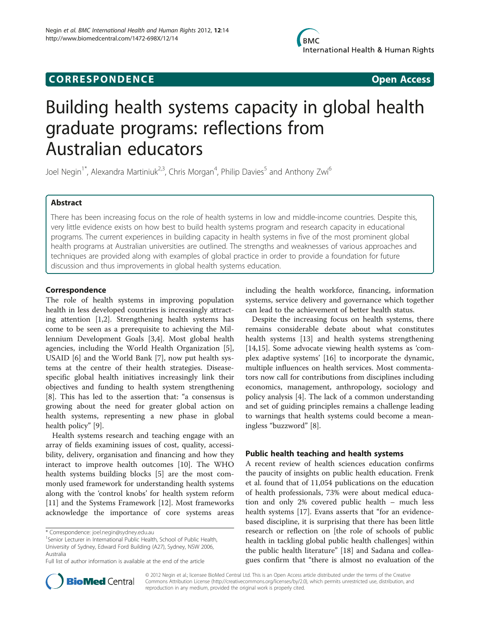## **CORRESPONDENCE CORRESPONDENCE** *CORRESPONDENCE*

# Building health systems capacity in global health graduate programs: reflections from Australian educators

Joel Negin<sup>1\*</sup>, Alexandra Martiniuk<sup>2,3</sup>, Chris Morgan<sup>4</sup>, Philip Davies<sup>5</sup> and Anthony Zwi<sup>6</sup>

## Abstract

There has been increasing focus on the role of health systems in low and middle-income countries. Despite this, very little evidence exists on how best to build health systems program and research capacity in educational programs. The current experiences in building capacity in health systems in five of the most prominent global health programs at Australian universities are outlined. The strengths and weaknesses of various approaches and techniques are provided along with examples of global practice in order to provide a foundation for future discussion and thus improvements in global health systems education.

## Correspondence

The role of health systems in improving population health in less developed countries is increasingly attracting attention [\[1](#page-4-0),[2](#page-4-0)]. Strengthening health systems has come to be seen as a prerequisite to achieving the Millennium Development Goals [[3,](#page-4-0)[4\]](#page-5-0). Most global health agencies, including the World Health Organization [\[5](#page-5-0)], USAID [[6\]](#page-5-0) and the World Bank [\[7](#page-5-0)], now put health systems at the centre of their health strategies. Diseasespecific global health initiatives increasingly link their objectives and funding to health system strengthening [[8\]](#page-5-0). This has led to the assertion that: "a consensus is growing about the need for greater global action on health systems, representing a new phase in global health policy" [[9\]](#page-5-0).

Health systems research and teaching engage with an array of fields examining issues of cost, quality, accessibility, delivery, organisation and financing and how they interact to improve health outcomes [[10](#page-5-0)]. The WHO health systems building blocks [[5\]](#page-5-0) are the most commonly used framework for understanding health systems along with the 'control knobs' for health system reform [[11\]](#page-5-0) and the Systems Framework [[12](#page-5-0)]. Most frameworks acknowledge the importance of core systems areas including the health workforce, financing, information systems, service delivery and governance which together can lead to the achievement of better health status.

Despite the increasing focus on health systems, there remains considerable debate about what constitutes health systems [[13](#page-5-0)] and health systems strengthening [[14,15\]](#page-5-0). Some advocate viewing health systems as 'complex adaptive systems' [\[16](#page-5-0)] to incorporate the dynamic, multiple influences on health services. Most commentators now call for contributions from disciplines including economics, management, anthropology, sociology and policy analysis [[4\]](#page-5-0). The lack of a common understanding and set of guiding principles remains a challenge leading to warnings that health systems could become a meaningless "buzzword" [\[8](#page-5-0)].

## Public health teaching and health systems

A recent review of health sciences education confirms the paucity of insights on public health education. Frenk et al. found that of 11,054 publications on the education of health professionals, 73% were about medical education and only 2% covered public health – much less health systems [[17](#page-5-0)]. Evans asserts that "for an evidencebased discipline, it is surprising that there has been little research or reflection on [the role of schools of public health in tackling global public health challenges] within the public health literature" [[18\]](#page-5-0) and Sadana and colleagues confirm that "there is almost no evaluation of the



© 2012 Negin et al.; licensee BioMed Central Ltd. This is an Open Access article distributed under the terms of the Creative Commons Attribution License [\(http://creativecommons.org/licenses/by/2.0\)](http://creativecommons.org/licenses/by/2.0), which permits unrestricted use, distribution, and reproduction in any medium, provided the original work is properly cited.

<sup>\*</sup> Correspondence: [joel.negin@sydney.edu.au](mailto:joel.negin@sydney.edu.au) <sup>1</sup>

<sup>&</sup>lt;sup>1</sup>Senior Lecturer in International Public Health, School of Public Health, University of Sydney, Edward Ford Building (A27), Sydney, NSW 2006, Australia

Full list of author information is available at the end of the article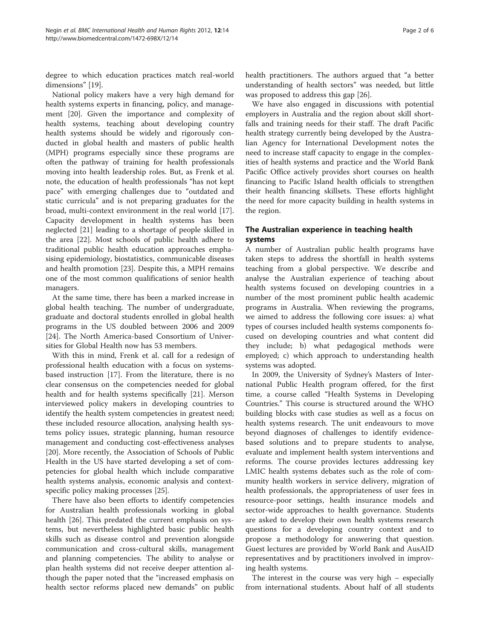degree to which education practices match real-world dimensions" [[19\]](#page-5-0).

National policy makers have a very high demand for health systems experts in financing, policy, and management [\[20\]](#page-5-0). Given the importance and complexity of health systems, teaching about developing country health systems should be widely and rigorously conducted in global health and masters of public health (MPH) programs especially since these programs are often the pathway of training for health professionals moving into health leadership roles. But, as Frenk et al. note, the education of health professionals "has not kept pace" with emerging challenges due to "outdated and static curricula" and is not preparing graduates for the broad, multi-context environment in the real world [\[17](#page-5-0)]. Capacity development in health systems has been neglected [\[21](#page-5-0)] leading to a shortage of people skilled in the area [[22](#page-5-0)]. Most schools of public health adhere to traditional public health education approaches emphasising epidemiology, biostatistics, communicable diseases and health promotion [[23\]](#page-5-0). Despite this, a MPH remains one of the most common qualifications of senior health managers.

At the same time, there has been a marked increase in global health teaching. The number of undergraduate, graduate and doctoral students enrolled in global health programs in the US doubled between 2006 and 2009 [[24\]](#page-5-0). The North America-based Consortium of Universities for Global Health now has 53 members.

With this in mind, Frenk et al. call for a redesign of professional health education with a focus on systemsbased instruction [\[17](#page-5-0)]. From the literature, there is no clear consensus on the competencies needed for global health and for health systems specifically [\[21](#page-5-0)]. Merson interviewed policy makers in developing countries to identify the health system competencies in greatest need; these included resource allocation, analysing health systems policy issues, strategic planning, human resource management and conducting cost-effectiveness analyses [[20\]](#page-5-0). More recently, the Association of Schools of Public Health in the US have started developing a set of competencies for global health which include comparative health systems analysis, economic analysis and contextspecific policy making processes [[25\]](#page-5-0).

There have also been efforts to identify competencies for Australian health professionals working in global health [[26\]](#page-5-0). This predated the current emphasis on systems, but nevertheless highlighted basic public health skills such as disease control and prevention alongside communication and cross-cultural skills, management and planning competencies. The ability to analyse or plan health systems did not receive deeper attention although the paper noted that the "increased emphasis on health sector reforms placed new demands" on public health practitioners. The authors argued that "a better understanding of health sectors" was needed, but little was proposed to address this gap [\[26](#page-5-0)].

We have also engaged in discussions with potential employers in Australia and the region about skill shortfalls and training needs for their staff. The draft Pacific health strategy currently being developed by the Australian Agency for International Development notes the need to increase staff capacity to engage in the complexities of health systems and practice and the World Bank Pacific Office actively provides short courses on health financing to Pacific Island health officials to strengthen their health financing skillsets. These efforts highlight the need for more capacity building in health systems in the region.

## The Australian experience in teaching health systems

A number of Australian public health programs have taken steps to address the shortfall in health systems teaching from a global perspective. We describe and analyse the Australian experience of teaching about health systems focused on developing countries in a number of the most prominent public health academic programs in Australia. When reviewing the programs, we aimed to address the following core issues: a) what types of courses included health systems components focused on developing countries and what content did they include; b) what pedagogical methods were employed; c) which approach to understanding health systems was adopted.

In 2009, the University of Sydney's Masters of International Public Health program offered, for the first time, a course called "Health Systems in Developing Countries." This course is structured around the WHO building blocks with case studies as well as a focus on health systems research. The unit endeavours to move beyond diagnoses of challenges to identify evidencebased solutions and to prepare students to analyse, evaluate and implement health system interventions and reforms. The course provides lectures addressing key LMIC health systems debates such as the role of community health workers in service delivery, migration of health professionals, the appropriateness of user fees in resource-poor settings, health insurance models and sector-wide approaches to health governance. Students are asked to develop their own health systems research questions for a developing country context and to propose a methodology for answering that question. Guest lectures are provided by World Bank and AusAID representatives and by practitioners involved in improving health systems.

The interest in the course was very high – especially from international students. About half of all students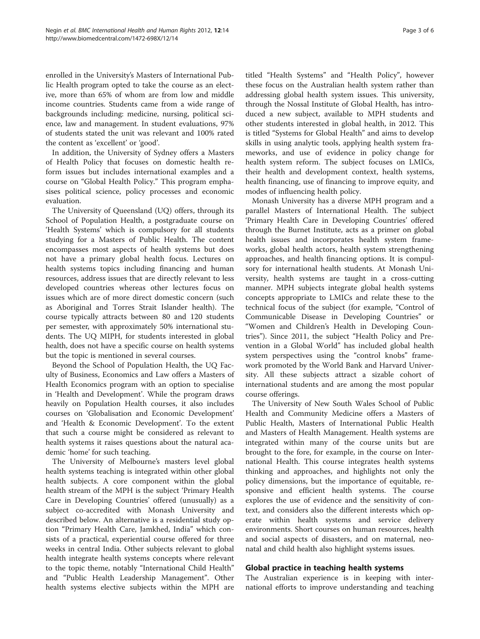enrolled in the University's Masters of International Public Health program opted to take the course as an elective, more than 65% of whom are from low and middle income countries. Students came from a wide range of backgrounds including: medicine, nursing, political science, law and management. In student evaluations, 97% of students stated the unit was relevant and 100% rated the content as 'excellent' or 'good'.

In addition, the University of Sydney offers a Masters of Health Policy that focuses on domestic health reform issues but includes international examples and a course on "Global Health Policy." This program emphasises political science, policy processes and economic evaluation.

The University of Queensland (UQ) offers, through its School of Population Health, a postgraduate course on 'Health Systems' which is compulsory for all students studying for a Masters of Public Health. The content encompasses most aspects of health systems but does not have a primary global health focus. Lectures on health systems topics including financing and human resources, address issues that are directly relevant to less developed countries whereas other lectures focus on issues which are of more direct domestic concern (such as Aboriginal and Torres Strait Islander health). The course typically attracts between 80 and 120 students per semester, with approximately 50% international students. The UQ MIPH, for students interested in global health, does not have a specific course on health systems but the topic is mentioned in several courses.

Beyond the School of Population Health, the UQ Faculty of Business, Economics and Law offers a Masters of Health Economics program with an option to specialise in 'Health and Development'. While the program draws heavily on Population Health courses, it also includes courses on 'Globalisation and Economic Development' and 'Health & Economic Development'. To the extent that such a course might be considered as relevant to health systems it raises questions about the natural academic 'home' for such teaching.

The University of Melbourne's masters level global health systems teaching is integrated within other global health subjects. A core component within the global health stream of the MPH is the subject 'Primary Health Care in Developing Countries' offered (unusually) as a subject co-accredited with Monash University and described below. An alternative is a residential study option "Primary Health Care, Jamkhed, India" which consists of a practical, experiential course offered for three weeks in central India. Other subjects relevant to global health integrate health systems concepts where relevant to the topic theme, notably "International Child Health" and "Public Health Leadership Management". Other health systems elective subjects within the MPH are

titled "Health Systems" and "Health Policy", however these focus on the Australian health system rather than addressing global health system issues. This university, through the Nossal Institute of Global Health, has introduced a new subject, available to MPH students and other students interested in global health, in 2012. This is titled "Systems for Global Health" and aims to develop skills in using analytic tools, applying health system frameworks, and use of evidence in policy change for health system reform. The subject focuses on LMICs, their health and development context, health systems, health financing, use of financing to improve equity, and modes of influencing health policy.

Monash University has a diverse MPH program and a parallel Masters of International Health. The subject 'Primary Health Care in Developing Countries' offered through the Burnet Institute, acts as a primer on global health issues and incorporates health system frameworks, global health actors, health system strengthening approaches, and health financing options. It is compulsory for international health students. At Monash University, health systems are taught in a cross-cutting manner. MPH subjects integrate global health systems concepts appropriate to LMICs and relate these to the technical focus of the subject (for example, "Control of Communicable Disease in Developing Countries" or "Women and Children's Health in Developing Countries"). Since 2011, the subject "Health Policy and Prevention in a Global World" has included global health system perspectives using the "control knobs" framework promoted by the World Bank and Harvard University. All these subjects attract a sizable cohort of international students and are among the most popular course offerings.

The University of New South Wales School of Public Health and Community Medicine offers a Masters of Public Health, Masters of International Public Health and Masters of Health Management. Health systems are integrated within many of the course units but are brought to the fore, for example, in the course on International Health. This course integrates health systems thinking and approaches, and highlights not only the policy dimensions, but the importance of equitable, responsive and efficient health systems. The course explores the use of evidence and the sensitivity of context, and considers also the different interests which operate within health systems and service delivery environments. Short courses on human resources, health and social aspects of disasters, and on maternal, neonatal and child health also highlight systems issues.

## Global practice in teaching health systems

The Australian experience is in keeping with international efforts to improve understanding and teaching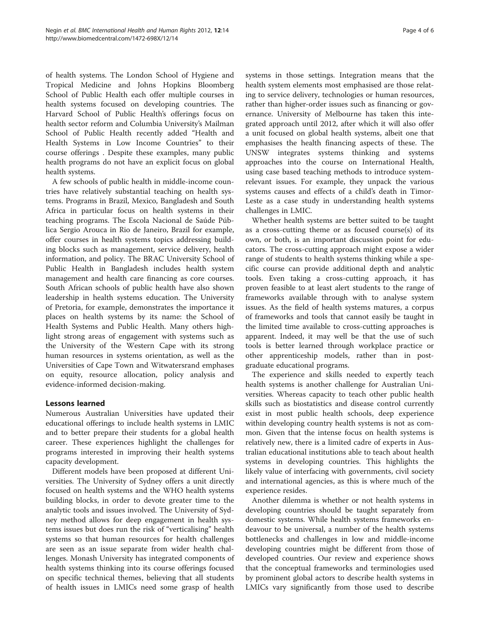of health systems. The London School of Hygiene and Tropical Medicine and Johns Hopkins Bloomberg School of Public Health each offer multiple courses in health systems focused on developing countries. The Harvard School of Public Health's offerings focus on health sector reform and Columbia University's Mailman School of Public Health recently added "Health and Health Systems in Low Income Countries" to their course offerings . Despite these examples, many public health programs do not have an explicit focus on global health systems.

A few schools of public health in middle-income countries have relatively substantial teaching on health systems. Programs in Brazil, Mexico, Bangladesh and South Africa in particular focus on health systems in their teaching programs. The Escola Nacional de Saúde Pública Sergio Arouca in Rio de Janeiro, Brazil for example, offer courses in health systems topics addressing building blocks such as management, service delivery, health information, and policy. The BRAC University School of Public Health in Bangladesh includes health system management and health care financing as core courses. South African schools of public health have also shown leadership in health systems education. The University of Pretoria, for example, demonstrates the importance it places on health systems by its name: the School of Health Systems and Public Health. Many others highlight strong areas of engagement with systems such as the University of the Western Cape with its strong human resources in systems orientation, as well as the Universities of Cape Town and Witwatersrand emphases on equity, resource allocation, policy analysis and evidence-informed decision-making.

## Lessons learned

Numerous Australian Universities have updated their educational offerings to include health systems in LMIC and to better prepare their students for a global health career. These experiences highlight the challenges for programs interested in improving their health systems capacity development.

Different models have been proposed at different Universities. The University of Sydney offers a unit directly focused on health systems and the WHO health systems building blocks, in order to devote greater time to the analytic tools and issues involved. The University of Sydney method allows for deep engagement in health systems issues but does run the risk of "verticalising" health systems so that human resources for health challenges are seen as an issue separate from wider health challenges. Monash University has integrated components of health systems thinking into its course offerings focused on specific technical themes, believing that all students of health issues in LMICs need some grasp of health

systems in those settings. Integration means that the health system elements most emphasised are those relating to service delivery, technologies or human resources, rather than higher-order issues such as financing or governance. University of Melbourne has taken this integrated approach until 2012, after which it will also offer a unit focused on global health systems, albeit one that emphasises the health financing aspects of these. The UNSW integrates systems thinking and systems approaches into the course on International Health, using case based teaching methods to introduce systemrelevant issues. For example, they unpack the various systems causes and effects of a child's death in Timor-Leste as a case study in understanding health systems challenges in LMIC.

Whether health systems are better suited to be taught as a cross-cutting theme or as focused course(s) of its own, or both, is an important discussion point for educators. The cross-cutting approach might expose a wider range of students to health systems thinking while a specific course can provide additional depth and analytic tools. Even taking a cross-cutting approach, it has proven feasible to at least alert students to the range of frameworks available through with to analyse system issues. As the field of health systems matures, a corpus of frameworks and tools that cannot easily be taught in the limited time available to cross-cutting approaches is apparent. Indeed, it may well be that the use of such tools is better learned through workplace practice or other apprenticeship models, rather than in postgraduate educational programs.

The experience and skills needed to expertly teach health systems is another challenge for Australian Universities. Whereas capacity to teach other public health skills such as biostatistics and disease control currently exist in most public health schools, deep experience within developing country health systems is not as common. Given that the intense focus on health systems is relatively new, there is a limited cadre of experts in Australian educational institutions able to teach about health systems in developing countries. This highlights the likely value of interfacing with governments, civil society and international agencies, as this is where much of the experience resides.

Another dilemma is whether or not health systems in developing countries should be taught separately from domestic systems. While health systems frameworks endeavour to be universal, a number of the health systems bottlenecks and challenges in low and middle-income developing countries might be different from those of developed countries. Our review and experience shows that the conceptual frameworks and terminologies used by prominent global actors to describe health systems in LMICs vary significantly from those used to describe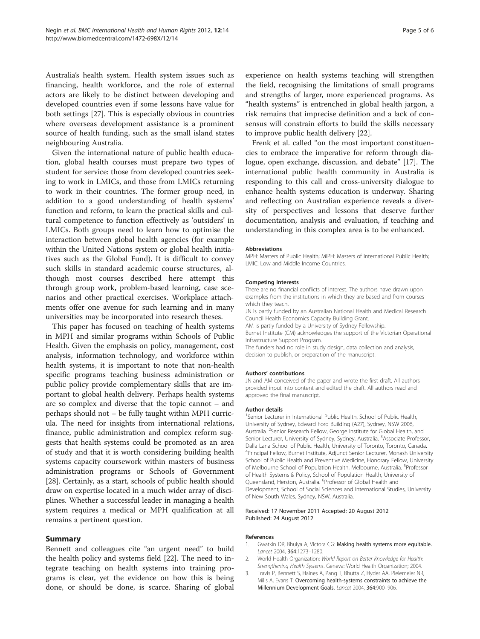<span id="page-4-0"></span>Australia's health system. Health system issues such as financing, health workforce, and the role of external actors are likely to be distinct between developing and developed countries even if some lessons have value for both settings [[27\]](#page-5-0). This is especially obvious in countries where overseas development assistance is a prominent source of health funding, such as the small island states neighbouring Australia.

Given the international nature of public health education, global health courses must prepare two types of student for service: those from developed countries seeking to work in LMICs, and those from LMICs returning to work in their countries. The former group need, in addition to a good understanding of health systems' function and reform, to learn the practical skills and cultural competence to function effectively as 'outsiders' in LMICs. Both groups need to learn how to optimise the interaction between global health agencies (for example within the United Nations system or global health initiatives such as the Global Fund). It is difficult to convey such skills in standard academic course structures, although most courses described here attempt this through group work, problem-based learning, case scenarios and other practical exercises. Workplace attachments offer one avenue for such learning and in many universities may be incorporated into research theses.

This paper has focused on teaching of health systems in MPH and similar programs within Schools of Public Health. Given the emphasis on policy, management, cost analysis, information technology, and workforce within health systems, it is important to note that non-health specific programs teaching business administration or public policy provide complementary skills that are important to global health delivery. Perhaps health systems are so complex and diverse that the topic cannot – and perhaps should not – be fully taught within MPH curricula. The need for insights from international relations, finance, public administration and complex reform suggests that health systems could be promoted as an area of study and that it is worth considering building health systems capacity coursework within masters of business administration programs or Schools of Government [[28\]](#page-5-0). Certainly, as a start, schools of public health should draw on expertise located in a much wider array of disciplines. Whether a successful leader in managing a health system requires a medical or MPH qualification at all remains a pertinent question.

## Summary

Bennett and colleagues cite "an urgent need" to build the health policy and systems field [\[22](#page-5-0)]. The need to integrate teaching on health systems into training programs is clear, yet the evidence on how this is being done, or should be done, is scarce. Sharing of global experience on health systems teaching will strengthen the field, recognising the limitations of small programs and strengths of larger, more experienced programs. As "health systems" is entrenched in global health jargon, a risk remains that imprecise definition and a lack of consensus will constrain efforts to build the skills necessary to improve public health delivery [22].

Frenk et al. called "on the most important constituencies to embrace the imperative for reform through dialogue, open exchange, discussion, and debate" [17]. The international public health community in Australia is responding to this call and cross-university dialogue to enhance health systems education is underway. Sharing and reflecting on Australian experience reveals a diversity of perspectives and lessons that deserve further documentation, analysis and evaluation, if teaching and understanding in this complex area is to be enhanced.

#### Abbreviations

MPH: Masters of Public Health; MIPH: Masters of International Public Health; LMIC: Low and Middle Income Countries.

#### Competing interests

There are no financial conflicts of interest. The authors have drawn upon examples from the institutions in which they are based and from courses which they teach.

JN is partly funded by an Australian National Health and Medical Research Council Health Economics Capacity Building Grant.

AM is partly funded by a University of Sydney Fellowship.

Burnet Institute (CM) acknowledges the support of the Victorian Operational Infrastructure Support Program.

The funders had no role in study design, data collection and analysis, decision to publish, or preparation of the manuscript.

#### Authors' contributions

JN and AM conceived of the paper and wrote the first draft. All authors provided input into content and edited the draft. All authors read and approved the final manuscript.

#### Author details

<sup>1</sup>Senior Lecturer in International Public Health, School of Public Health, University of Sydney, Edward Ford Building (A27), Sydney, NSW 2006, Australia. <sup>2</sup>Senior Research Fellow, George Institute for Global Health, and Senior Lecturer, University of Sydney, Sydney, Australia. <sup>3</sup>Associate Professor Dalla Lana School of Public Health, University of Toronto, Toronto, Canada. <sup>4</sup>Principal Fellow, Burnet Institute, Adjunct Senior Lecturer, Monash University School of Public Health and Preventive Medicine, Honorary Fellow, University of Melbourne School of Population Health, Melbourne, Australia. <sup>5</sup>Professor of Health Systems & Policy, School of Population Health, University of Queensland, Herston, Australia. <sup>6</sup>Professor of Global Health and Development, School of Social Sciences and International Studies, University of New South Wales, Sydney, NSW, Australia.

#### Received: 17 November 2011 Accepted: 20 August 2012 Published: 24 August 2012

#### References

- 1. Gwatkin DR, Bhuiya A, Victora CG: Making health systems more equitable. Lancet 2004, 364:1273–1280.
- 2. World Health Organization: World Report on Better Knowledge for Health: Strengthening Health Systems. Geneva: World Health Organization; 2004.
- 3. Travis P, Bennett S, Haines A, Pang T, Bhutta Z, Hyder AA, Pielemeier NR, Mills A, Evans T: Overcoming health-systems constraints to achieve the Millennium Development Goals. Lancet 2004, 364:900–906.